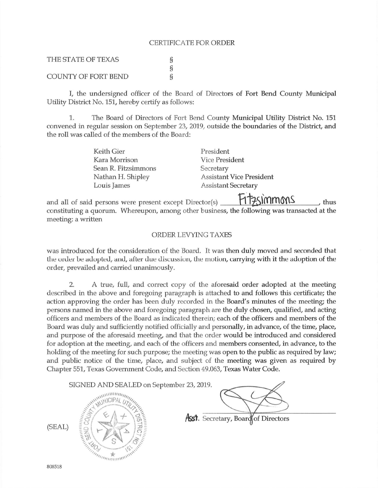## CERTIFICATE FOR ORDER

| THE STATE OF TEXAS  | S |
|---------------------|---|
|                     | ş |
| COUNTY OF FORT BEND | S |

I, the undersigned officer of the Board of Directors of Fort Bend County Municipal Utility District No. 151, hereby certify as follows:

1. The Board of Directors of Fort Bend County Municipal Utility District No. 151 convened in regular session on September 23, 2019, outside the boundaries of the District, and the roll was called of the members of the Board:

| Keith Gier          | President                       |
|---------------------|---------------------------------|
| Kara Morrison       | <b>Vice President</b>           |
| Sean R. Fitzsimmons | Secretary                       |
| Nathan H. Shipley   | <b>Assistant Vice President</b> |
| Louis James         | <b>Assistant Secretary</b>      |

and all of said persons were present except Director(s) **:Bt:25frnm()'{\S** . thus constituting a quorum. Whereupon, among other business, the following was transacted at the meeting: a written

## ORDER LEVYING TAXES

was introduced for the consideration of the Board. It was then duly moved and seconded that the order be adopted, and, after due discussion, the motion, carrying with it the adoption of the order, prevailed and carried unanimously.

2. A true, full, and correct copy of the aforesaid order adopted at the meeting described in the above and foregoing paragraph is attached to and follows this certificate; the action approving the order has been duly recorded in the Board's minutes of the meeting; the persons named in the above and foregoing paragraph are the duly chosen, qualified, and acting officers and members of the Board as indicated therein; each of the officers and members of the Board was duly and sufficiently notified officially and personally, in advance, of the time, place, and purpose of the aforesaid meeting, and that the order would be introduced and considered for adoption at the meeting, and each of the officers and members consented, in advance, to the holding of the meeting for such purpose; the meeting was open to the public as required by law; and public notice of the time, place, and subject of the meeting was given as required by Chapter 551, Texas Government Code, and Section 49.063, Texas Water Code.



 $\mathcal{P}_{\mathcal{B}_{\mathcal{B}_{\mathcal{B}_{\mathcal{B}_{\mathcal{B}}}}\mathcal{B}_{\mathcal{B}_{\mathcal{B}}\mathcal{B}}\mathcal{B}_{\mathcal{B}}\mathcal{B}_{\mathcal{B}}\mathcal{B}_{\mathcal{B}}}}$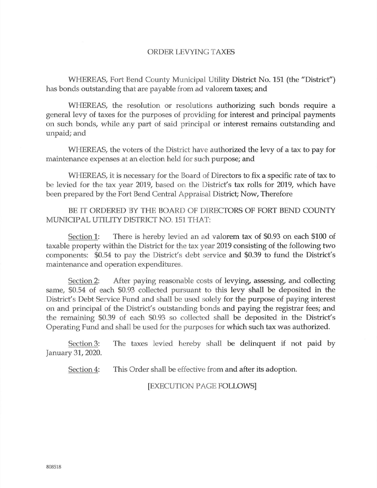## ORDER LEVYING TAXES

WHEREAS, Fort Bend County Municipal Utility District No. 151 (the "District") has bonds outstanding that are payable from ad valorem taxes; and

WHEREAS, the resolution or resolutions authorizing such bonds require a general levy of taxes for the purposes of providing for interest and principal payments on such bonds, while any part of said principal or interest remains outstanding and unpaid; and

WHEREAS, the voters of the District have authorized the levy of a tax to pay for maintenance expenses at an election held for such purpose; and

WHEREAS, it is necessary for the Board of Directors to fix a specific rate of tax to be levied for the tax year 2019, based on the District's tax rolls for 2019, which have been prepared by the Fort Bend Central Appraisal District; Now, Therefore

BE IT ORDERED BY THE BOARD OF DIRECTORS OF FORT BEND COUNTY MUNICIPAL UTILITY DISTRICT NO. 151 THAT:

Section 1: There is hereby levied an ad valorem tax of \$0.93 on each \$100 of taxable property within the District for the tax year 2019 consisting of the following two components: \$0.54 to pay the District's debt service and \$0.39 to fund the District's maintenance and operation expenditures.

Section 2: After paying reasonable costs of levying, assessing, and collecting same, \$0.54 of each \$0.93 collected pursuant to this levy shall be deposited in the District's Debt Service Fund and shall be used solely for the purpose of paying interest on and principal of the District's outstanding bonds and paying the registrar fees; and the remaining \$0.39 of each \$0.93 so collected shall be deposited in the District's Operating Fund and shall be used for the purposes for which such tax was authorized.

Section 3: The taxes levied hereby shall be delinquent if not paid by January 31, 2020.

Section 4: This Order shall be effective from and after its adoption.

[EXECUTION PAGE FOLLOWS]